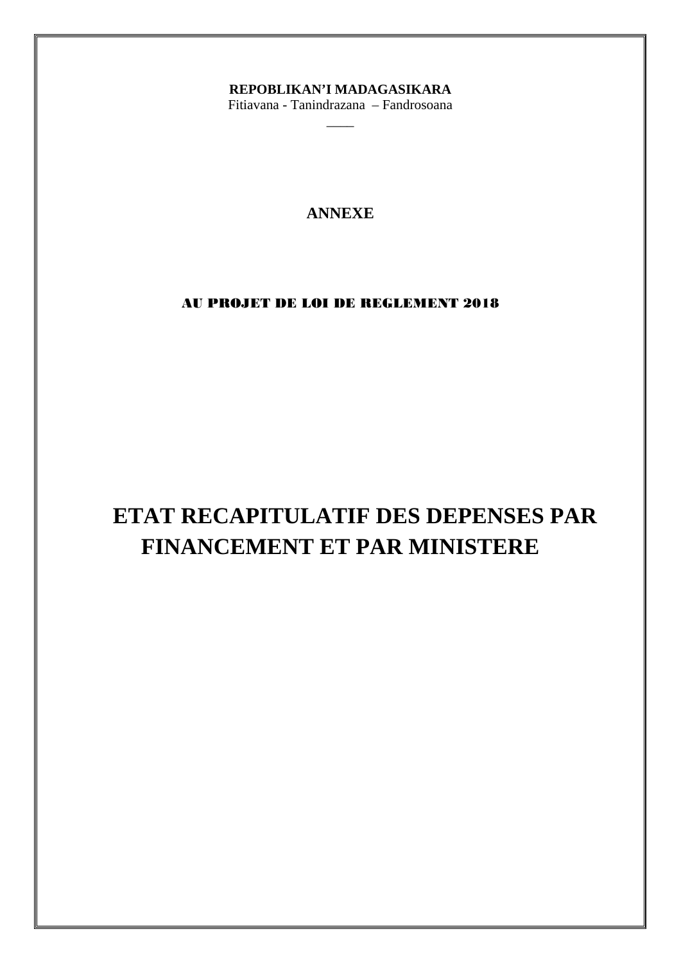## REPOBLIKAN'I MADAGASIKARA

Fitiavana - Tanindrazana - Fandrosoana

## **ANNEXE**

## AU PROJET DE LOI DE REGLEMENT 2018

# ETAT RECAPITULATIF DES DEPENSES PAR FINANCEMENT ET PAR MINISTERE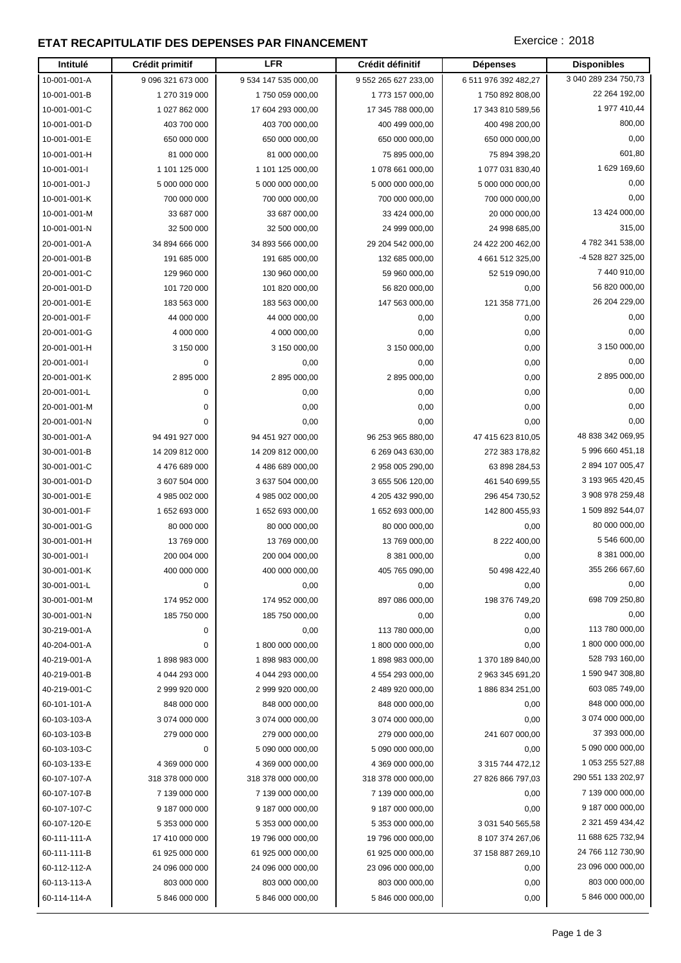## **ETAT RECAPITULATIF DES DEPENSES PAR FINANCEMENT EXECUTES** Exercice : 2018

| Intitulé     | Crédit primitif   | <b>LFR</b>           | Crédit définitif     | <b>Dépenses</b>      | <b>Disponibles</b>   |
|--------------|-------------------|----------------------|----------------------|----------------------|----------------------|
| 10-001-001-A | 9 096 321 673 000 | 9 534 147 535 000,00 | 9 552 265 627 233,00 | 6 511 976 392 482,27 | 3 040 289 234 750,73 |
| 10-001-001-B | 1 270 319 000     | 1750 059 000,00      | 1773 157 000,00      | 1750 892 808,00      | 22 264 192,00        |
| 10-001-001-C | 1 027 862 000     | 17 604 293 000,00    | 17 345 788 000,00    | 17 343 810 589,56    | 1 977 410,44         |
| 10-001-001-D | 403 700 000       | 403 700 000,00       | 400 499 000,00       | 400 498 200,00       | 800,00               |
| 10-001-001-E | 650 000 000       | 650 000 000,00       | 650 000 000,00       | 650 000 000,00       | 0,00                 |
| 10-001-001-H | 81 000 000        | 81 000 000,00        | 75 895 000,00        | 75 894 398,20        | 601,80               |
| 10-001-001-I | 1 101 125 000     | 1 101 125 000,00     | 1 078 661 000,00     | 1 077 031 830,40     | 1 629 169,60         |
| 10-001-001-J | 5 000 000 000     | 5 000 000 000,00     | 5 000 000 000,00     | 5 000 000 000,00     | 0,00                 |
| 10-001-001-K | 700 000 000       | 700 000 000,00       | 700 000 000,00       | 700 000 000,00       | 0,00                 |
| 10-001-001-M | 33 687 000        | 33 687 000,00        | 33 424 000,00        | 20 000 000,00        | 13 424 000,00        |
| 10-001-001-N | 32 500 000        | 32 500 000,00        | 24 999 000,00        | 24 998 685,00        | 315,00               |
| 20-001-001-A | 34 894 666 000    | 34 893 566 000,00    | 29 204 542 000,00    | 24 422 200 462,00    | 4 782 341 538,00     |
| 20-001-001-B | 191 685 000       | 191 685 000,00       | 132 685 000,00       | 4 661 512 325,00     | -4 528 827 325,00    |
| 20-001-001-C | 129 960 000       | 130 960 000,00       | 59 960 000,00        | 52 519 090,00        | 7 440 910,00         |
| 20-001-001-D | 101 720 000       | 101 820 000,00       | 56 820 000,00        | 0,00                 | 56 820 000,00        |
| 20-001-001-E | 183 563 000       | 183 563 000,00       | 147 563 000,00       | 121 358 771,00       | 26 204 229,00        |
| 20-001-001-F | 44 000 000        | 44 000 000,00        | 0,00                 | 0,00                 | 0,00                 |
| 20-001-001-G | 4 000 000         | 4 000 000,00         | 0,00                 | 0,00                 | 0,00                 |
| 20-001-001-H | 3 150 000         | 3 150 000,00         | 3 150 000,00         | 0,00                 | 3 150 000,00         |
| 20-001-001-l | 0                 | 0,00                 | 0,00                 | 0,00                 | 0,00                 |
| 20-001-001-K | 2895000           | 2 895 000,00         | 2 895 000,00         | 0,00                 | 2 895 000,00         |
| 20-001-001-L | 0                 | 0,00                 | 0,00                 | 0,00                 | 0,00                 |
| 20-001-001-M | 0                 | 0,00                 | 0,00                 | 0,00                 | 0,00                 |
| 20-001-001-N | 0                 | 0,00                 | 0,00                 | 0,00                 | 0,00                 |
| 30-001-001-A | 94 491 927 000    | 94 451 927 000,00    | 96 253 965 880,00    | 47 415 623 810,05    | 48 838 342 069,95    |
| 30-001-001-B | 14 209 812 000    | 14 209 812 000,00    | 6 269 043 630,00     | 272 383 178,82       | 5 996 660 451,18     |
| 30-001-001-C | 4 476 689 000     | 4 486 689 000,00     | 2 958 005 290,00     | 63 898 284,53        | 2 894 107 005,47     |
| 30-001-001-D | 3 607 504 000     | 3 637 504 000,00     | 3 655 506 120,00     | 461 540 699,55       | 3 193 965 420,45     |
| 30-001-001-E | 4 985 002 000     | 4 985 002 000,00     | 4 205 432 990,00     | 296 454 730,52       | 3 908 978 259,48     |
| 30-001-001-F | 1652693000        | 1 652 693 000,00     | 1 652 693 000,00     | 142 800 455,93       | 1 509 892 544,07     |
| 30-001-001-G | 80 000 000        | 80 000 000,00        | 80 000 000,00        | 0,00                 | 80 000 000,00        |
| 30-001-001-H | 13769000          | 13 769 000,00        | 13 769 000,00        | 8 222 400,00         | 5 546 600,00         |
| 30-001-001-l | 200 004 000       | 200 004 000,00       | 8 381 000,00         | 0,00                 | 8 381 000,00         |
| 30-001-001-K | 400 000 000       | 400 000 000,00       | 405 765 090,00       | 50 498 422,40        | 355 266 667,60       |
| 30-001-001-L | 0                 | 0,00                 | 0,00                 | 0,00                 | 0,00                 |
| 30-001-001-M | 174 952 000       | 174 952 000,00       | 897 086 000,00       | 198 376 749,20       | 698 709 250,80       |
| 30-001-001-N | 185 750 000       | 185 750 000,00       | 0,00                 | 0,00                 | 0,00                 |
| 30-219-001-A | 0                 | 0,00                 | 113 780 000,00       | 0,00                 | 113 780 000,00       |
| 40-204-001-A | 0                 | 1800 000 000,00      | 1800 000 000,00      | 0,00                 | 1 800 000 000,00     |
| 40-219-001-A | 1898983000        | 1898983000,00        | 1898983000,00        | 1 370 189 840,00     | 528 793 160,00       |
| 40-219-001-B | 4 044 293 000     | 4 044 293 000,00     | 4 554 293 000,00     | 2 963 345 691,20     | 1 590 947 308,80     |
| 40-219-001-C | 2 999 920 000     | 2 999 920 000,00     | 2 489 920 000,00     | 1886 834 251,00      | 603 085 749,00       |
| 60-101-101-A | 848 000 000       | 848 000 000,00       | 848 000 000,00       | 0,00                 | 848 000 000,00       |
| 60-103-103-A | 3 074 000 000     | 3 074 000 000,00     | 3 074 000 000,00     | 0,00                 | 3 074 000 000,00     |
| 60-103-103-B | 279 000 000       | 279 000 000,00       | 279 000 000,00       | 241 607 000,00       | 37 393 000,00        |
| 60-103-103-C | 0                 | 5 090 000 000,00     | 5 090 000 000,00     | 0,00                 | 5 090 000 000,00     |
| 60-103-133-E | 4 369 000 000     | 4 369 000 000,00     | 4 369 000 000,00     | 3 315 744 472,12     | 1 053 255 527,88     |
| 60-107-107-A | 318 378 000 000   | 318 378 000 000,00   | 318 378 000 000,00   | 27 826 866 797,03    | 290 551 133 202,97   |
| 60-107-107-B | 7 139 000 000     | 7 139 000 000,00     | 7 139 000 000,00     | 0,00                 | 7 139 000 000,00     |
| 60-107-107-C | 9 187 000 000     | 9 187 000 000,00     | 9 187 000 000,00     | 0,00                 | 9 187 000 000,00     |
| 60-107-120-E | 5 353 000 000     | 5 353 000 000,00     | 5 353 000 000,00     | 3 031 540 565,58     | 2 321 459 434,42     |
| 60-111-111-A | 17 410 000 000    | 19 796 000 000,00    | 19 796 000 000,00    | 8 107 374 267,06     | 11 688 625 732,94    |
| 60-111-111-B | 61 925 000 000    | 61 925 000 000,00    | 61 925 000 000,00    | 37 158 887 269,10    | 24 766 112 730,90    |
| 60-112-112-A | 24 096 000 000    | 24 096 000 000,00    | 23 096 000 000,00    | 0,00                 | 23 096 000 000,00    |
| 60-113-113-A | 803 000 000       | 803 000 000,00       | 803 000 000,00       | 0,00                 | 803 000 000,00       |
| 60-114-114-A | 5 846 000 000     | 5 846 000 000,00     | 5 846 000 000,00     | 0,00                 | 5 846 000 000,00     |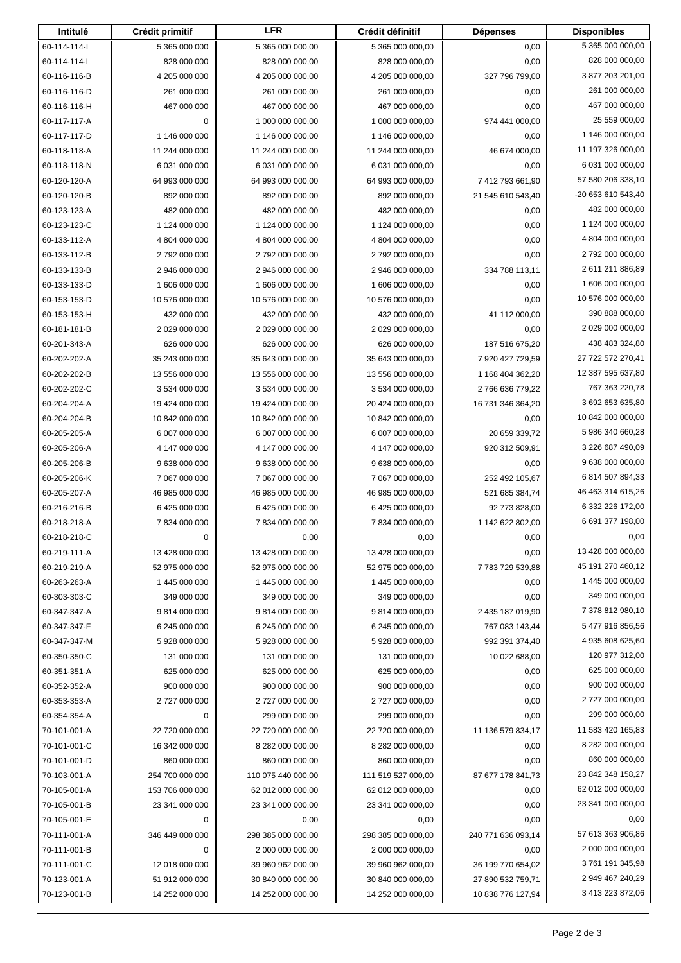| Intitulé                     | Crédit primitif              | <b>LFR</b>                         | Crédit définitif                   | <b>Dépenses</b>    | <b>Disponibles</b>                   |
|------------------------------|------------------------------|------------------------------------|------------------------------------|--------------------|--------------------------------------|
| 60-114-114-1                 | 5 365 000 000                | 5 365 000 000,00                   | 5 365 000 000,00                   | 0,00               | 5 365 000 000,00                     |
| 60-114-114-L                 | 828 000 000                  | 828 000 000,00                     | 828 000 000,00                     | 0,00               | 828 000 000,00                       |
| 60-116-116-B                 | 4 205 000 000                | 4 205 000 000,00                   | 4 205 000 000,00                   | 327 796 799,00     | 3 877 203 201,00                     |
| 60-116-116-D                 | 261 000 000                  | 261 000 000,00                     | 261 000 000,00                     | 0,00               | 261 000 000,00                       |
| 60-116-116-H                 | 467 000 000                  | 467 000 000,00                     | 467 000 000,00                     | 0,00               | 467 000 000,00                       |
| 60-117-117-A                 | 0                            | 1 000 000 000,00                   | 1 000 000 000,00                   | 974 441 000,00     | 25 559 000,00                        |
| 60-117-117-D                 | 1 146 000 000                | 1 146 000 000,00                   | 1 146 000 000,00                   | 0,00               | 1 146 000 000,00                     |
| 60-118-118-A                 | 11 244 000 000               | 11 244 000 000,00                  | 11 244 000 000,00                  | 46 674 000,00      | 11 197 326 000,00                    |
| 60-118-118-N                 | 6 031 000 000                | 6 031 000 000,00                   | 6 031 000 000,00                   | 0,00               | 6 031 000 000,00                     |
| 60-120-120-A                 | 64 993 000 000               | 64 993 000 000,00                  | 64 993 000 000,00                  | 7 412 793 661,90   | 57 580 206 338,10                    |
| 60-120-120-B                 | 892 000 000                  | 892 000 000,00                     | 892 000 000,00                     | 21 545 610 543,40  | -20 653 610 543,40                   |
| 60-123-123-A                 | 482 000 000                  | 482 000 000,00                     | 482 000 000,00                     | 0,00               | 482 000 000,00                       |
| 60-123-123-C                 | 1 124 000 000                | 1 124 000 000,00                   | 1 124 000 000,00                   | 0,00               | 1 124 000 000,00                     |
| 60-133-112-A                 | 4 804 000 000                | 4 804 000 000,00                   | 4 804 000 000,00                   | 0,00               | 4 804 000 000,00                     |
| 60-133-112-B                 | 2792000000                   | 2 792 000 000,00                   | 2 792 000 000,00                   | 0,00               | 2 792 000 000,00                     |
| 60-133-133-B                 | 2 946 000 000                | 2 946 000 000,00                   | 2 946 000 000,00                   | 334 788 113,11     | 2 611 211 886,89                     |
| 60-133-133-D                 | 1 606 000 000                | 1 606 000 000,00                   | 1 606 000 000,00                   | 0,00               | 1 606 000 000,00                     |
| 60-153-153-D                 | 10 576 000 000               | 10 576 000 000,00                  | 10 576 000 000,00                  | 0,00               | 10 576 000 000,00                    |
| 60-153-153-H                 | 432 000 000                  | 432 000 000,00                     | 432 000 000,00                     | 41 112 000,00      | 390 888 000,00                       |
| 60-181-181-B                 | 2 029 000 000                | 2 029 000 000,00                   | 2 029 000 000,00                   | 0,00               | 2 029 000 000,00                     |
| 60-201-343-A                 | 626 000 000                  | 626 000 000,00                     | 626 000 000,00                     | 187 516 675,20     | 438 483 324,80                       |
| 60-202-202-A                 | 35 243 000 000               | 35 643 000 000,00                  | 35 643 000 000,00                  | 7 920 427 729,59   | 27 722 572 270,41                    |
| 60-202-202-B                 | 13 556 000 000               | 13 556 000 000,00                  | 13 556 000 000,00                  | 1 168 404 362,20   | 12 387 595 637,80                    |
| 60-202-202-C                 | 3 534 000 000                | 3 534 000 000,00                   | 3 534 000 000,00                   | 2766 636 779,22    | 767 363 220,78                       |
| 60-204-204-A                 | 19 424 000 000               | 19 424 000 000,00                  | 20 424 000 000,00                  | 16 731 346 364,20  | 3 692 653 635,80                     |
| 60-204-204-B                 | 10 842 000 000               | 10 842 000 000,00                  | 10 842 000 000,00                  | 0,00               | 10 842 000 000,00                    |
| 60-205-205-A                 | 6 007 000 000                | 6 007 000 000,00                   | 6 007 000 000,00                   | 20 659 339,72      | 5 986 340 660,28                     |
| 60-205-206-A                 | 4 147 000 000                | 4 147 000 000,00                   | 4 147 000 000,00                   | 920 312 509,91     | 3 226 687 490,09                     |
| 60-205-206-B                 | 9 638 000 000                | 9 638 000 000,00                   | 9 638 000 000,00                   | 0,00               | 9 638 000 000,00                     |
| 60-205-206-K                 | 7 067 000 000                | 7 067 000 000,00                   | 7 067 000 000,00                   | 252 492 105,67     | 6 814 507 894,33                     |
| 60-205-207-A                 | 46 985 000 000               | 46 985 000 000,00                  | 46 985 000 000,00                  | 521 685 384,74     | 46 463 314 615,26                    |
| 60-216-216-B                 | 6 425 000 000                | 6 425 000 000,00                   | 6 425 000 000,00                   | 92 773 828,00      | 6 332 226 172,00                     |
| 60-218-218-A                 | 7834000000                   | 7834000000,00                      | 7834000000.00                      | 1 142 622 802,00   | 6 691 377 198,00                     |
| 60-218-218-C                 | 0                            | 0,00                               | 0,00                               | 0,00               | 0,00                                 |
| 60-219-111-A                 | 13 428 000 000               | 13 428 000 000,00                  | 13 428 000 000,00                  | 0,00               | 13 428 000 000,00                    |
| 60-219-219-A                 | 52 975 000 000               | 52 975 000 000,00                  | 52 975 000 000,00                  | 7783729539,88      | 45 191 270 460,12                    |
| 60-263-263-A                 | 1 445 000 000                | 1 445 000 000,00                   | 1 445 000 000,00                   | 0,00               | 1 445 000 000,00                     |
| 60-303-303-C                 | 349 000 000                  | 349 000 000,00                     | 349 000 000,00                     | 0,00               | 349 000 000,00                       |
| 60-347-347-A                 | 9814000000                   | 9 814 000 000,00                   | 9814000000,00                      | 2 435 187 019,90   | 7 378 812 980,10<br>5 477 916 856,56 |
| 60-347-347-F                 | 6 245 000 000                | 6 245 000 000,00                   | 6 245 000 000,00                   | 767 083 143,44     | 4 935 608 625,60                     |
| 60-347-347-M                 | 5928000000<br>131 000 000    | 5 928 000 000,00                   | 5 928 000 000,00                   | 992 391 374,40     | 120 977 312,00                       |
| 60-350-350-C                 |                              | 131 000 000,00                     | 131 000 000,00<br>625 000 000,00   | 10 022 688,00      | 625 000 000,00                       |
| 60-351-351-A                 | 625 000 000                  | 625 000 000,00                     |                                    | 0,00               | 900 000 000,00                       |
| 60-352-352-A<br>60-353-353-A | 900 000 000<br>2 727 000 000 | 900 000 000,00<br>2 727 000 000,00 | 900 000 000,00<br>2 727 000 000,00 | 0,00               | 2 727 000 000,00                     |
| 60-354-354-A                 | 0                            | 299 000 000,00                     | 299 000 000,00                     | 0,00<br>0,00       | 299 000 000,00                       |
| 70-101-001-A                 | 22 720 000 000               | 22 720 000 000,00                  | 22 720 000 000,00                  | 11 136 579 834,17  | 11 583 420 165,83                    |
| 70-101-001-C                 | 16 342 000 000               | 8 282 000 000,00                   | 8 282 000 000,00                   | 0,00               | 8 282 000 000,00                     |
| 70-101-001-D                 | 860 000 000                  | 860 000 000,00                     | 860 000 000,00                     | 0,00               | 860 000 000,00                       |
| 70-103-001-A                 | 254 700 000 000              | 110 075 440 000,00                 | 111 519 527 000,00                 | 87 677 178 841,73  | 23 842 348 158,27                    |
| 70-105-001-A                 | 153 706 000 000              | 62 012 000 000,00                  | 62 012 000 000,00                  | 0,00               | 62 012 000 000,00                    |
| 70-105-001-B                 | 23 341 000 000               | 23 341 000 000,00                  | 23 341 000 000,00                  | 0,00               | 23 341 000 000,00                    |
| 70-105-001-E                 | 0                            | 0,00                               | 0,00                               | 0,00               | 0,00                                 |
| 70-111-001-A                 | 346 449 000 000              | 298 385 000 000,00                 | 298 385 000 000,00                 | 240 771 636 093,14 | 57 613 363 906,86                    |
| 70-111-001-B                 | 0                            | 2 000 000 000,00                   | 2 000 000 000,00                   | 0,00               | 2 000 000 000,00                     |
| 70-111-001-C                 | 12 018 000 000               | 39 960 962 000,00                  | 39 960 962 000,00                  | 36 199 770 654,02  | 3761 191 345,98                      |
| 70-123-001-A                 | 51 912 000 000               | 30 840 000 000,00                  | 30 840 000 000,00                  | 27 890 532 759,71  | 2 949 467 240,29                     |
| 70-123-001-B                 | 14 252 000 000               | 14 252 000 000,00                  | 14 252 000 000,00                  | 10 838 776 127,94  | 3 413 223 872,06                     |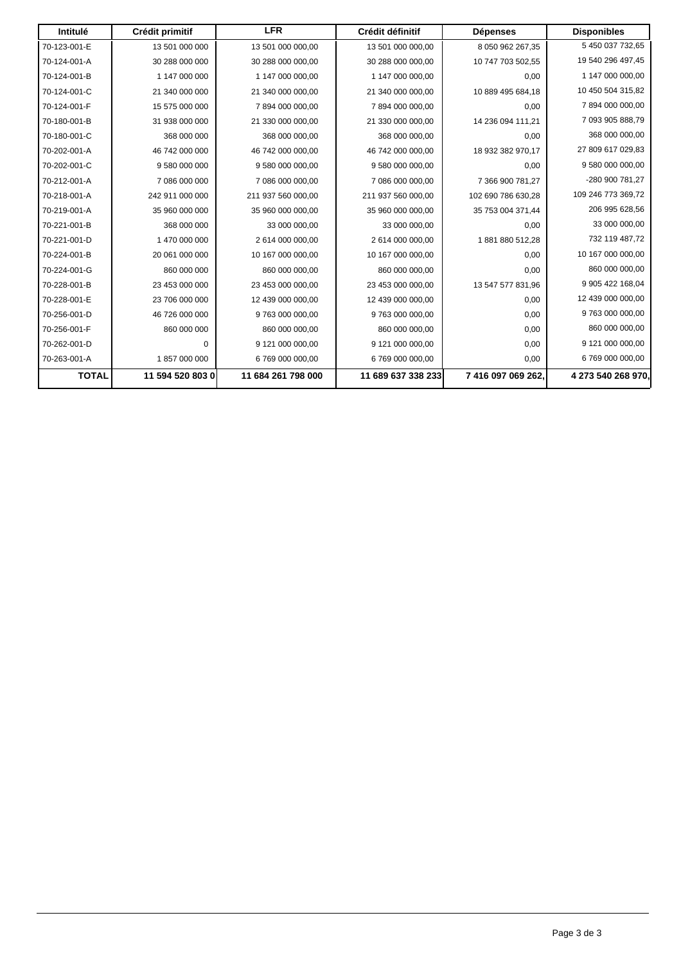| Intitulé     | Crédit primitif  | <b>LFR</b>         | Crédit définitif   | <b>Dépenses</b>    | <b>Disponibles</b> |
|--------------|------------------|--------------------|--------------------|--------------------|--------------------|
| 70-123-001-E | 13 501 000 000   | 13 501 000 000,00  | 13 501 000 000,00  | 8 050 962 267,35   | 5 450 037 732,65   |
| 70-124-001-A | 30 288 000 000   | 30 288 000 000,00  | 30 288 000 000,00  | 10 747 703 502,55  | 19 540 296 497,45  |
| 70-124-001-B | 1 147 000 000    | 1 147 000 000,00   | 1 147 000 000,00   | 0,00               | 1 147 000 000,00   |
| 70-124-001-C | 21 340 000 000   | 21 340 000 000,00  | 21 340 000 000,00  | 10 889 495 684,18  | 10 450 504 315,82  |
| 70-124-001-F | 15 575 000 000   | 7894000000,00      | 7894000000.00      | 0,00               | 7894000000.00      |
| 70-180-001-B | 31 938 000 000   | 21 330 000 000,00  | 21 330 000 000,00  | 14 236 094 111,21  | 7 093 905 888,79   |
| 70-180-001-C | 368 000 000      | 368 000 000,00     | 368 000 000,00     | 0,00               | 368 000 000,00     |
| 70-202-001-A | 46 742 000 000   | 46 742 000 000,00  | 46 742 000 000,00  | 18 932 382 970,17  | 27 809 617 029,83  |
| 70-202-001-C | 9 580 000 000    | 9 580 000 000,00   | 9 580 000 000,00   | 0.00               | 9 580 000 000,00   |
| 70-212-001-A | 7 086 000 000    | 7 086 000 000,00   | 7 086 000 000,00   | 7 366 900 781,27   | -280 900 781,27    |
| 70-218-001-A | 242 911 000 000  | 211 937 560 000,00 | 211 937 560 000,00 | 102 690 786 630,28 | 109 246 773 369,72 |
| 70-219-001-A | 35 960 000 000   | 35 960 000 000,00  | 35 960 000 000,00  | 35 753 004 371,44  | 206 995 628,56     |
| 70-221-001-B | 368 000 000      | 33 000 000,00      | 33 000 000,00      | 0,00               | 33 000 000,00      |
| 70-221-001-D | 1470 000 000     | 2 614 000 000.00   | 2 614 000 000,00   | 1881880512,28      | 732 119 487,72     |
| 70-224-001-B | 20 061 000 000   | 10 167 000 000,00  | 10 167 000 000,00  | 0,00               | 10 167 000 000,00  |
| 70-224-001-G | 860 000 000      | 860 000 000,00     | 860 000 000,00     | 0,00               | 860 000 000,00     |
| 70-228-001-B | 23 453 000 000   | 23 453 000 000,00  | 23 453 000 000,00  | 13 547 577 831,96  | 9 905 422 168,04   |
| 70-228-001-E | 23 706 000 000   | 12 439 000 000,00  | 12 439 000 000,00  | 0,00               | 12 439 000 000,00  |
| 70-256-001-D | 46 726 000 000   | 9763000000,00      | 9 763 000 000,00   | 0,00               | 9 763 000 000,00   |
| 70-256-001-F | 860 000 000      | 860 000 000,00     | 860 000 000,00     | 0,00               | 860 000 000,00     |
| 70-262-001-D | $\mathbf 0$      | 9 121 000 000,00   | 9 121 000 000,00   | 0,00               | 9 121 000 000,00   |
| 70-263-001-A | 1857000000       | 6 769 000 000,00   | 6 769 000 000,00   | 0,00               | 6 769 000 000,00   |
| <b>TOTAL</b> | 11 594 520 803 0 | 11 684 261 798 000 | 11 689 637 338 233 | 7 416 097 069 262, | 4 273 540 268 970, |